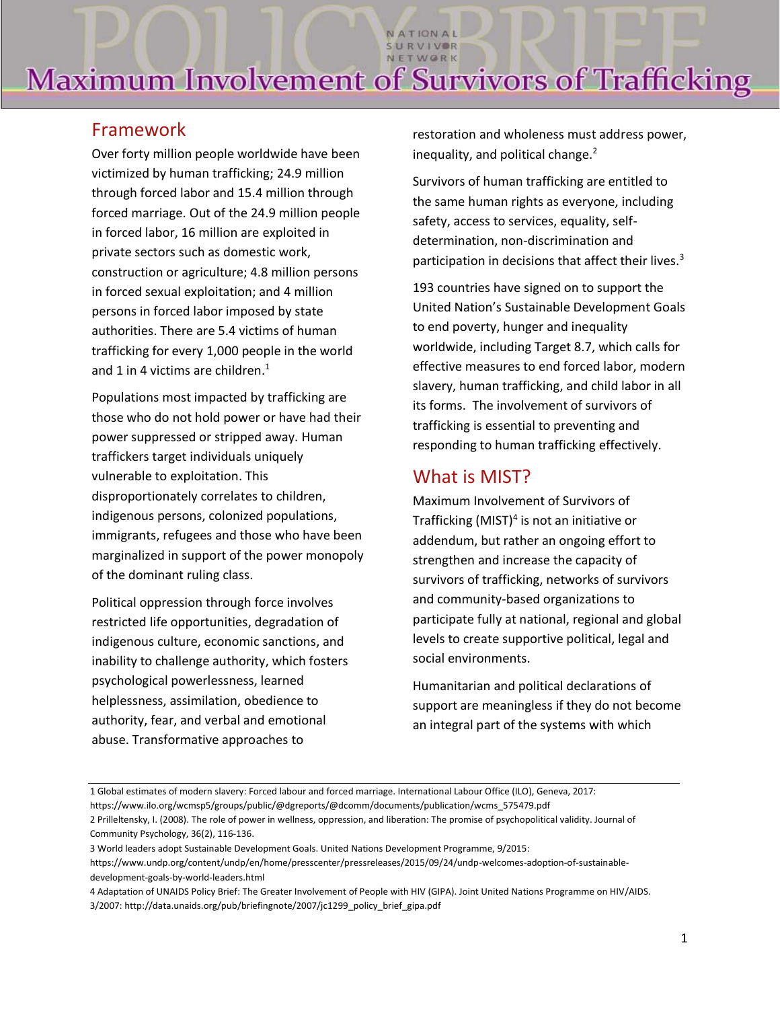NATIONAL SURVIVOR

## Framework

Over forty million people worldwide have been victimized by human trafficking; 24.9 million through forced labor and 15.4 million through forced marriage. Out of the 24.9 million people in forced labor, 16 million are exploited in private sectors such as domestic work, construction or agriculture; 4.8 million persons in forced sexual exploitation; and 4 million persons in forced labor imposed by state authorities. There are 5.4 victims of human trafficking for every 1,000 people in the world and 1 in 4 victims are children.<sup>1</sup>

Populations most impacted by trafficking are those who do not hold power or have had their power suppressed or stripped away. Human traffickers target individuals uniquely vulnerable to exploitation. This disproportionately correlates to children, indigenous persons, colonized populations, immigrants, refugees and those who have been marginalized in support of the power monopoly of the dominant ruling class.

Political oppression through force involves restricted life opportunities, degradation of indigenous culture, economic sanctions, and inability to challenge authority, which fosters psychological powerlessness, learned helplessness, assimilation, obedience to authority, fear, and verbal and emotional abuse. Transformative approaches to

restoration and wholeness must address power, inequality, and political change. $<sup>2</sup>$ </sup>

Survivors of human trafficking are entitled to the same human rights as everyone, including safety, access to services, equality, selfdetermination, non-discrimination and participation in decisions that affect their lives.<sup>3</sup>

193 countries have signed on to support the United Nation's Sustainable Development Goals to end poverty, hunger and inequality worldwide, including Target 8.7, which calls for effective measures to end forced labor, modern slavery, human trafficking, and child labor in all its forms. The involvement of survivors of trafficking is essential to preventing and responding to human trafficking effectively.

## What is MIST?

Maximum Involvement of Survivors of Trafficking (MIST) 4 is not an initiative or addendum, but rather an ongoing effort to strengthen and increase the capacity of survivors of trafficking, networks of survivors and community-based organizations to participate fully at national, regional and global levels to create supportive political, legal and social environments.

Humanitarian and political declarations of support are meaningless if they do not become an integral part of the systems with which

<sup>1</sup> Global estimates of modern slavery: Forced labour and forced marriage. International Labour Office (ILO), Geneva, 2017:

https://www.ilo.org/wcmsp5/groups/public/@dgreports/@dcomm/documents/publication/wcms\_575479.pdf

<sup>2</sup> Prilleltensky, I. (2008). The role of power in wellness, oppression, and liberation: The promise of psychopolitical validity. Journal of Community Psychology, 36(2), 116-136.

<sup>3</sup> World leaders adopt Sustainable Development Goals. United Nations Development Programme, 9/2015:

https://www.undp.org/content/undp/en/home/presscenter/pressreleases/2015/09/24/undp-welcomes-adoption-of-sustainabledevelopment-goals-by-world-leaders.html

<sup>4</sup> Adaptation of UNAIDS Policy Brief: The Greater Involvement of People with HIV (GIPA). Joint United Nations Programme on HIV/AIDS. 3/2007: http://data.unaids.org/pub/briefingnote/2007/jc1299\_policy\_brief\_gipa.pdf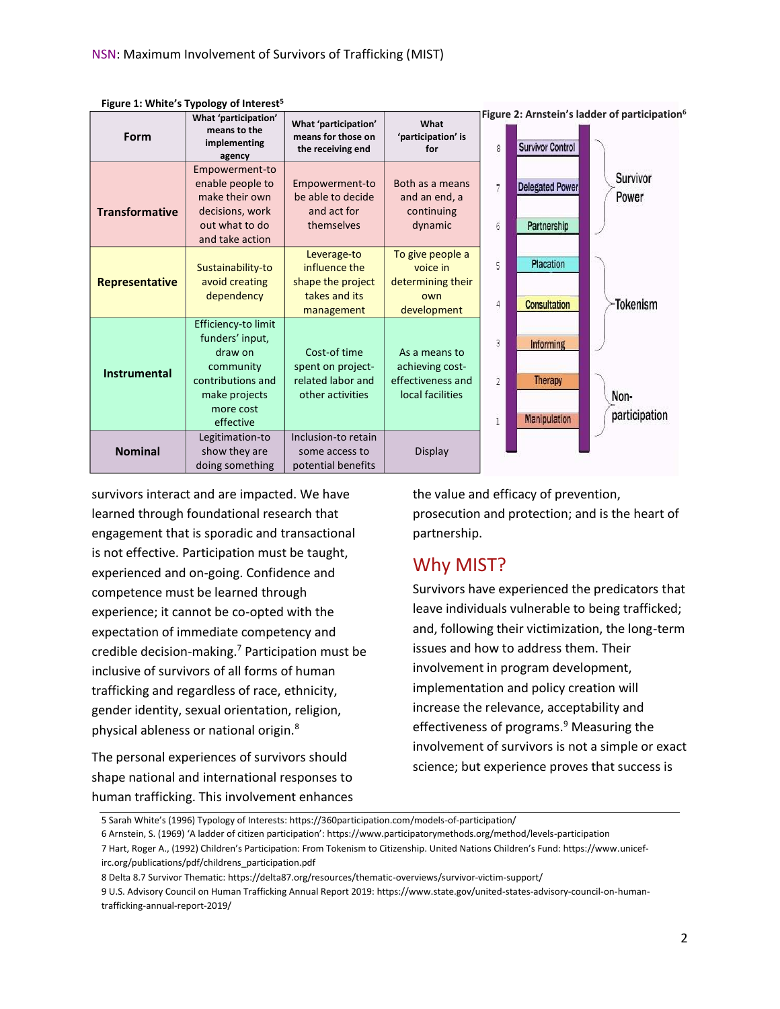| Form                  | What 'participation'<br>means to the<br>implementing<br>agency                                                                 | What 'participation'<br>means for those on<br>the receiving end                  | What<br>'participation' is<br>for                                         | 8                   | <b>Survivor Control</b>                                   | Figure 2: Arnstein's ladder of participation <sup>6</sup> |
|-----------------------|--------------------------------------------------------------------------------------------------------------------------------|----------------------------------------------------------------------------------|---------------------------------------------------------------------------|---------------------|-----------------------------------------------------------|-----------------------------------------------------------|
| <b>Transformative</b> | Empowerment-to<br>enable people to<br>make their own<br>decisions, work<br>out what to do<br>and take action                   | Empowerment-to<br>be able to decide<br>and act for<br>themselves                 | Both as a means<br>and an end, a<br>continuing<br>dynamic                 | 6                   | <b>Delegated Power</b><br>Partnership                     | <b>Survivor</b><br>Power                                  |
| <b>Representative</b> | Sustainability-to<br>avoid creating<br>dependency                                                                              | Leverage-to<br>influence the<br>shape the project<br>takes and its<br>management | To give people a<br>voice in<br>determining their<br>own<br>development   | 5<br>4              | Placation<br><b>Consultation</b>                          | -Tokenism                                                 |
| <b>Instrumental</b>   | Efficiency-to limit<br>funders' input,<br>draw on<br>community<br>contributions and<br>make projects<br>more cost<br>effective | Cost-of time<br>spent on project-<br>related labor and<br>other activities       | As a means to<br>achieving cost-<br>effectiveness and<br>local facilities | 3<br>$\overline{2}$ | <b>Informing</b><br><b>Therapy</b><br><b>Manipulation</b> | Non-<br>participation                                     |
| <b>Nominal</b>        | Legitimation-to<br>show they are<br>doing something                                                                            | Inclusion-to retain<br>some access to<br>potential benefits                      | <b>Display</b>                                                            |                     |                                                           |                                                           |

**Figure 1: White's Typology of Interest5**

survivors interact and are impacted. We have learned through foundational research that engagement that is sporadic and transactional is not effective. Participation must be taught, experienced and on-going. Confidence and competence must be learned through experience; it cannot be co-opted with the expectation of immediate competency and credible decision-making.<sup>7</sup> Participation must be inclusive of survivors of all forms of human trafficking and regardless of race, ethnicity, gender identity, sexual orientation, religion, physical ableness or national origin.<sup>8</sup>

The personal experiences of survivors should shape national and international responses to human trafficking. This involvement enhances the value and efficacy of prevention, prosecution and protection; and is the heart of partnership.

### Why MIST?

Survivors have experienced the predicators that leave individuals vulnerable to being trafficked; and, following their victimization, the long-term issues and how to address them. Their involvement in program development, implementation and policy creation will increase the relevance, acceptability and effectiveness of programs.<sup>9</sup> Measuring the involvement of survivors is not a simple or exact science; but experience proves that success is

6 Arnstein, S. (1969) 'A ladder of citizen participation': https://www.participatorymethods.org/method/levels-participation

<sup>5</sup> Sarah White's (1996) Typology of Interests: https://360participation.com/models-of-participation/

<sup>7</sup> Hart, Roger A., (1992) Children's Participation: From Tokenism to Citizenship. United Nations Children's Fund: https://www.unicefirc.org/publications/pdf/childrens\_participation.pdf

<sup>8</sup> Delta 8.7 Survivor Thematic: https://delta87.org/resources/thematic-overviews/survivor-victim-support/

<sup>9</sup> U.S. Advisory Council on Human Trafficking Annual Report 2019: https://www.state.gov/united-states-advisory-council-on-humantrafficking-annual-report-2019/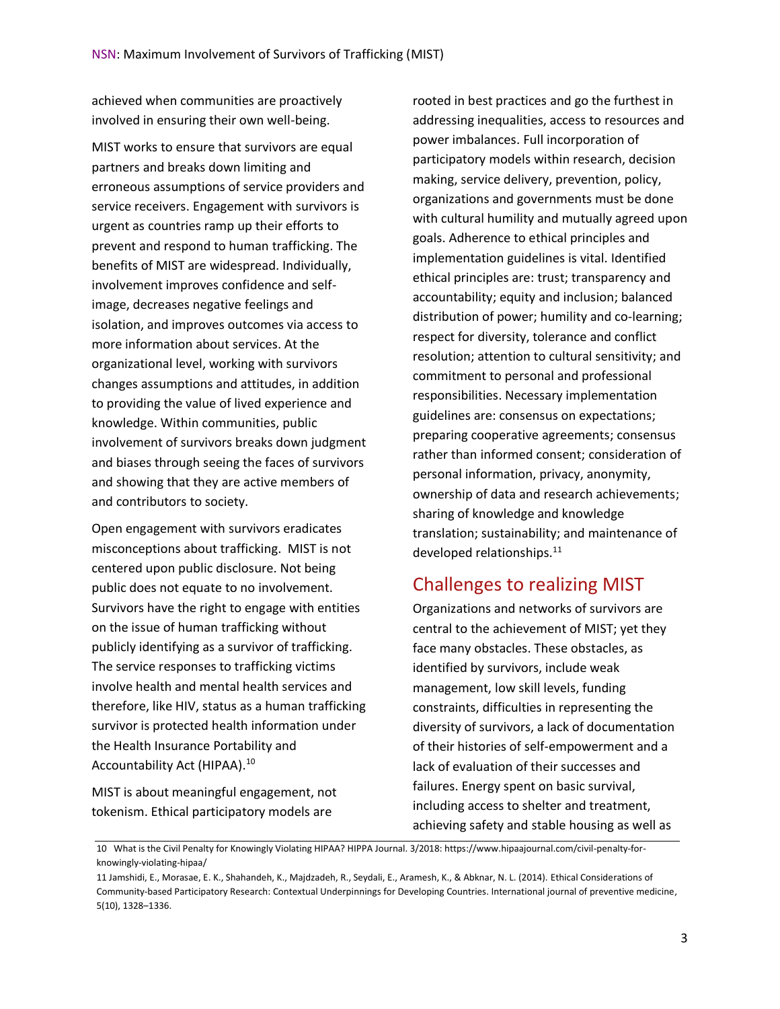achieved when communities are proactively involved in ensuring their own well-being.

MIST works to ensure that survivors are equal partners and breaks down limiting and erroneous assumptions of service providers and service receivers. Engagement with survivors is urgent as countries ramp up their efforts to prevent and respond to human trafficking. The benefits of MIST are widespread. Individually, involvement improves confidence and selfimage, decreases negative feelings and isolation, and improves outcomes via access to more information about services. At the organizational level, working with survivors changes assumptions and attitudes, in addition to providing the value of lived experience and knowledge. Within communities, public involvement of survivors breaks down judgment and biases through seeing the faces of survivors and showing that they are active members of and contributors to society.

Open engagement with survivors eradicates misconceptions about trafficking. MIST is not centered upon public disclosure. Not being public does not equate to no involvement. Survivors have the right to engage with entities on the issue of human trafficking without publicly identifying as a survivor of trafficking. The service responses to trafficking victims involve health and mental health services and therefore, like HIV, status as a human trafficking survivor is protected health information under the Health Insurance Portability and Accountability Act (HIPAA).<sup>10</sup>

MIST is about meaningful engagement, not tokenism. Ethical participatory models are

rooted in best practices and go the furthest in addressing inequalities, access to resources and power imbalances. Full incorporation of participatory models within research, decision making, service delivery, prevention, policy, organizations and governments must be done with cultural humility and mutually agreed upon goals. Adherence to ethical principles and implementation guidelines is vital. Identified ethical principles are: trust; transparency and accountability; equity and inclusion; balanced distribution of power; humility and co-learning; respect for diversity, tolerance and conflict resolution; attention to cultural sensitivity; and commitment to personal and professional responsibilities. Necessary implementation guidelines are: consensus on expectations; preparing cooperative agreements; consensus rather than informed consent; consideration of personal information, privacy, anonymity, ownership of data and research achievements; sharing of knowledge and knowledge translation; sustainability; and maintenance of developed relationships.<sup>11</sup>

### Challenges to realizing MIST

Organizations and networks of survivors are central to the achievement of MIST; yet they face many obstacles. These obstacles, as identified by survivors, include weak management, low skill levels, funding constraints, difficulties in representing the diversity of survivors, a lack of documentation of their histories of self-empowerment and a lack of evaluation of their successes and failures. Energy spent on basic survival, including access to shelter and treatment, achieving safety and stable housing as well as

<sup>10</sup> What is the Civil Penalty for Knowingly Violating HIPAA? HIPPA Journal. 3/2018: https://www.hipaajournal.com/civil-penalty-forknowingly-violating-hipaa/

<sup>11</sup> Jamshidi, E., Morasae, E. K., Shahandeh, K., Majdzadeh, R., Seydali, E., Aramesh, K., & Abknar, N. L. (2014). Ethical Considerations of Community-based Participatory Research: Contextual Underpinnings for Developing Countries. International journal of preventive medicine, 5(10), 1328–1336.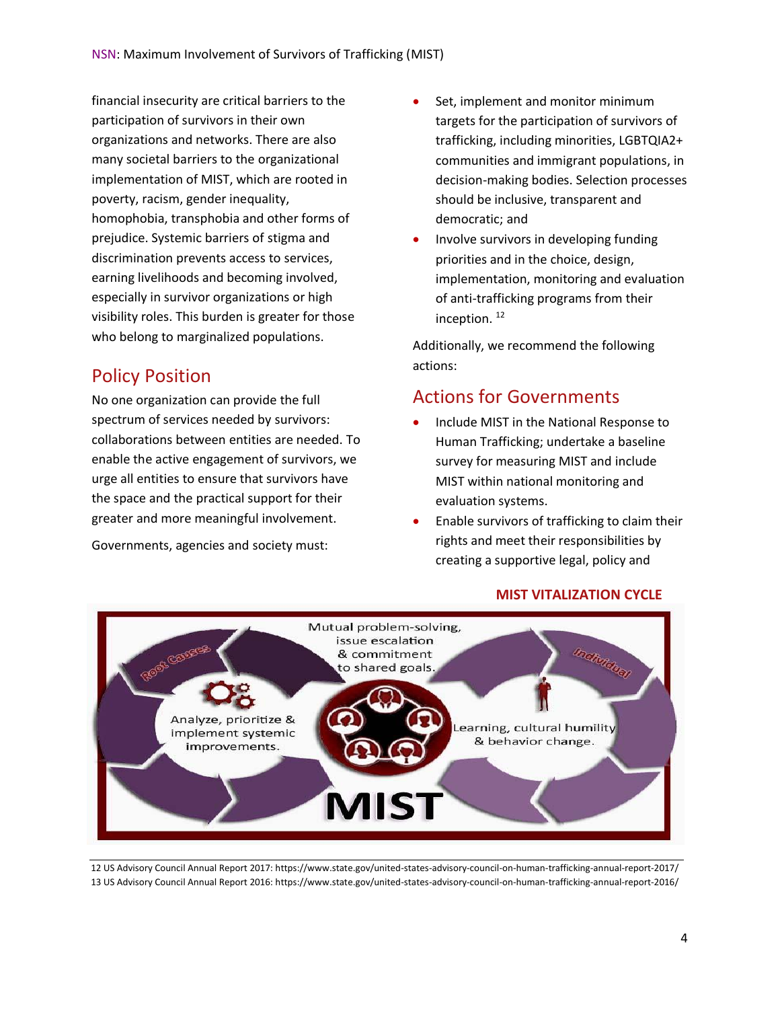financial insecurity are critical barriers to the participation of survivors in their own organizations and networks. There are also many societal barriers to the organizational implementation of MIST, which are rooted in poverty, racism, gender inequality, homophobia, transphobia and other forms of prejudice. Systemic barriers of stigma and discrimination prevents access to services, earning livelihoods and becoming involved, especially in survivor organizations or high visibility roles. This burden is greater for those who belong to marginalized populations.

## Policy Position

No one organization can provide the full spectrum of services needed by survivors: collaborations between entities are needed. To enable the active engagement of survivors, we urge all entities to ensure that survivors have the space and the practical support for their greater and more meaningful involvement.

Governments, agencies and society must:

- Set, implement and monitor minimum targets for the participation of survivors of trafficking, including minorities, LGBTQIA2+ communities and immigrant populations, in decision-making bodies. Selection processes should be inclusive, transparent and democratic; and
- Involve survivors in developing funding priorities and in the choice, design, implementation, monitoring and evaluation of anti-trafficking programs from their inception. <sup>12</sup>

Additionally, we recommend the following actions:

## Actions for Governments

- Include MIST in the National Response to Human Trafficking; undertake a baseline survey for measuring MIST and include MIST within national monitoring and evaluation systems.
- Enable survivors of trafficking to claim their rights and meet their responsibilities by creating a supportive legal, policy and



**MIST VITALIZATION CYCLE**

12 US Advisory Council Annual Report 2017: https://www.state.gov/united-states-advisory-council-on-human-trafficking-annual-report-2017/ 13 US Advisory Council Annual Report 2016: https://www.state.gov/united-states-advisory-council-on-human-trafficking-annual-report-2016/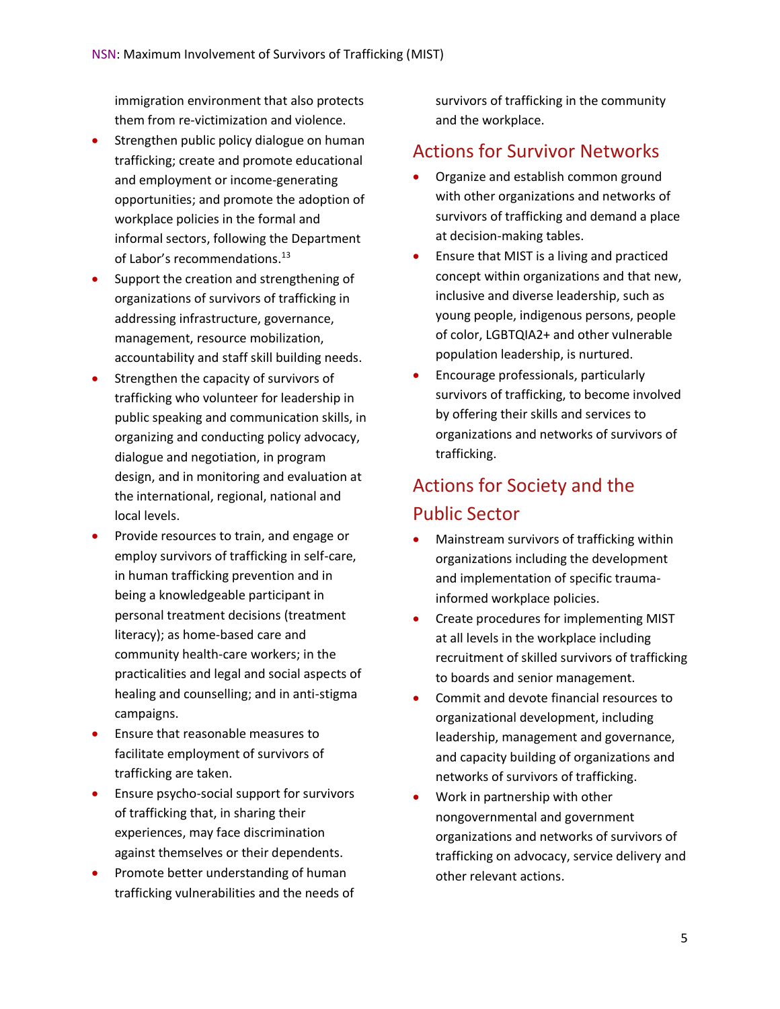immigration environment that also protects them from re-victimization and violence.

- Strengthen public policy dialogue on human trafficking; create and promote educational and employment or income-generating opportunities; and promote the adoption of workplace policies in the formal and informal sectors, following the Department of Labor's recommendations.<sup>13</sup>
- Support the creation and strengthening of organizations of survivors of trafficking in addressing infrastructure, governance, management, resource mobilization, accountability and staff skill building needs.
- Strengthen the capacity of survivors of trafficking who volunteer for leadership in public speaking and communication skills, in organizing and conducting policy advocacy, dialogue and negotiation, in program design, and in monitoring and evaluation at the international, regional, national and local levels.
- Provide resources to train, and engage or employ survivors of trafficking in self-care, in human trafficking prevention and in being a knowledgeable participant in personal treatment decisions (treatment literacy); as home-based care and community health-care workers; in the practicalities and legal and social aspects of healing and counselling; and in anti-stigma campaigns.
- Ensure that reasonable measures to facilitate employment of survivors of trafficking are taken.
- Ensure psycho-social support for survivors of trafficking that, in sharing their experiences, may face discrimination against themselves or their dependents.
- Promote better understanding of human trafficking vulnerabilities and the needs of

survivors of trafficking in the community and the workplace.

## Actions for Survivor Networks

- Organize and establish common ground with other organizations and networks of survivors of trafficking and demand a place at decision-making tables.
- Ensure that MIST is a living and practiced concept within organizations and that new, inclusive and diverse leadership, such as young people, indigenous persons, people of color, LGBTQIA2+ and other vulnerable population leadership, is nurtured.
- Encourage professionals, particularly survivors of trafficking, to become involved by offering their skills and services to organizations and networks of survivors of trafficking.

## Actions for Society and the Public Sector

- Mainstream survivors of trafficking within organizations including the development and implementation of specific traumainformed workplace policies.
- Create procedures for implementing MIST at all levels in the workplace including recruitment of skilled survivors of trafficking to boards and senior management.
- Commit and devote financial resources to organizational development, including leadership, management and governance, and capacity building of organizations and networks of survivors of trafficking.
- Work in partnership with other nongovernmental and government organizations and networks of survivors of trafficking on advocacy, service delivery and other relevant actions.